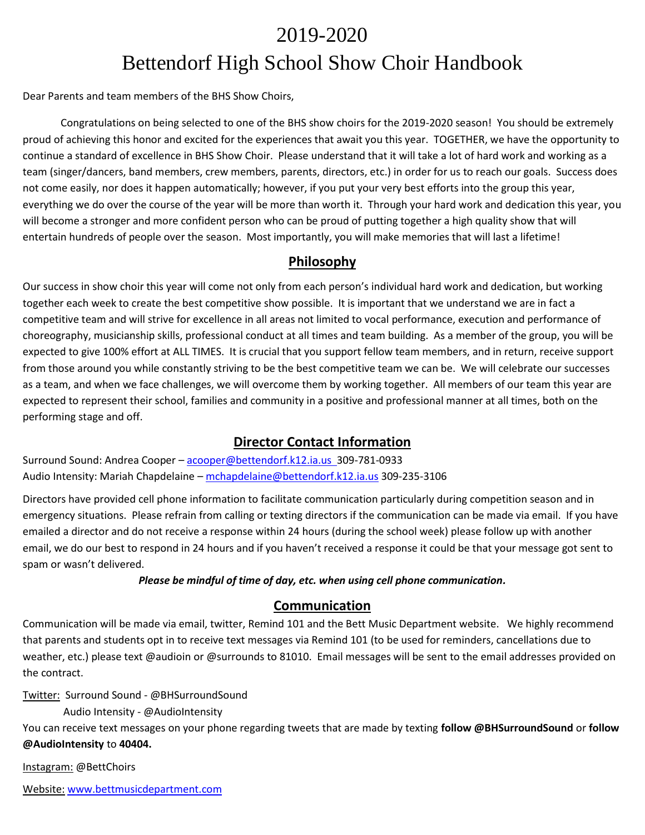# 2019-2020 Bettendorf High School Show Choir Handbook

Dear Parents and team members of the BHS Show Choirs,

Congratulations on being selected to one of the BHS show choirs for the 2019-2020 season! You should be extremely proud of achieving this honor and excited for the experiences that await you this year. TOGETHER, we have the opportunity to continue a standard of excellence in BHS Show Choir. Please understand that it will take a lot of hard work and working as a team (singer/dancers, band members, crew members, parents, directors, etc.) in order for us to reach our goals. Success does not come easily, nor does it happen automatically; however, if you put your very best efforts into the group this year, everything we do over the course of the year will be more than worth it. Through your hard work and dedication this year, you will become a stronger and more confident person who can be proud of putting together a high quality show that will entertain hundreds of people over the season. Most importantly, you will make memories that will last a lifetime!

## **Philosophy**

Our success in show choir this year will come not only from each person's individual hard work and dedication, but working together each week to create the best competitive show possible. It is important that we understand we are in fact a competitive team and will strive for excellence in all areas not limited to vocal performance, execution and performance of choreography, musicianship skills, professional conduct at all times and team building. As a member of the group, you will be expected to give 100% effort at ALL TIMES. It is crucial that you support fellow team members, and in return, receive support from those around you while constantly striving to be the best competitive team we can be. We will celebrate our successes as a team, and when we face challenges, we will overcome them by working together. All members of our team this year are expected to represent their school, families and community in a positive and professional manner at all times, both on the performing stage and off.

# **Director Contact Information**

Surround Sound: Andrea Cooper – [acooper@bettendorf.k12.ia.us](mailto:acooper@bettendorf.k12.ia.us) 309-781-0933 Audio Intensity: Mariah Chapdelaine – [mchapdelaine@bettendorf.k12.ia.us](mailto:mchapdelaine@bettendorf.k12.ia.us) 309-235-3106

Directors have provided cell phone information to facilitate communication particularly during competition season and in emergency situations. Please refrain from calling or texting directors if the communication can be made via email. If you have emailed a director and do not receive a response within 24 hours (during the school week) please follow up with another email, we do our best to respond in 24 hours and if you haven't received a response it could be that your message got sent to spam or wasn't delivered.

#### *Please be mindful of time of day, etc. when using cell phone communication.*

## **Communication**

Communication will be made via email, twitter, Remind 101 and the Bett Music Department website. We highly recommend that parents and students opt in to receive text messages via Remind 101 (to be used for reminders, cancellations due to weather, etc.) please text @audioin or @surrounds to 81010. Email messages will be sent to the email addresses provided on the contract.

Twitter: Surround Sound - @BHSurroundSound

Audio Intensity - @AudioIntensity

You can receive text messages on your phone regarding tweets that are made by texting **follow @BHSurroundSound** or **follow @AudioIntensity** to **40404.**

Instagram: @BettChoirs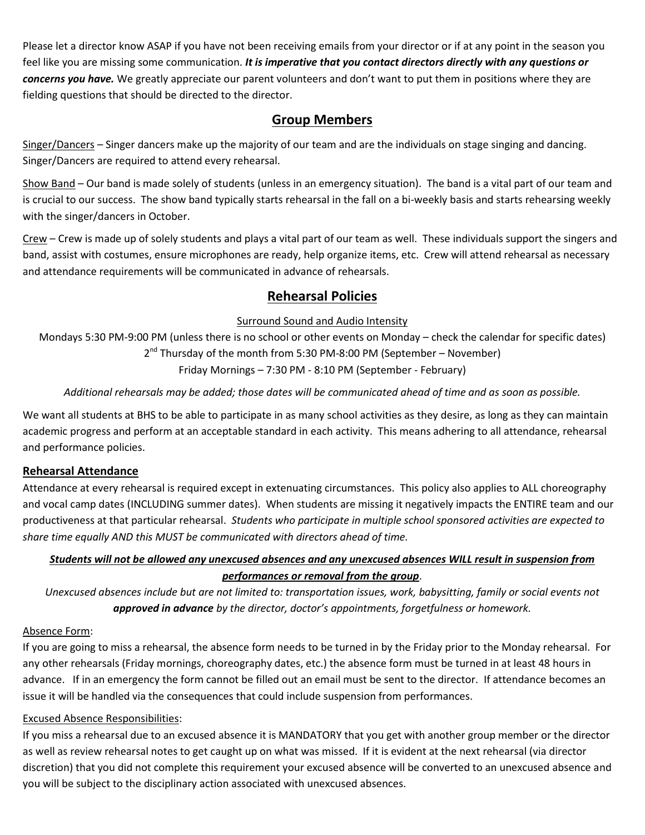Please let a director know ASAP if you have not been receiving emails from your director or if at any point in the season you feel like you are missing some communication. *It is imperative that you contact directors directly with any questions or concerns you have.* We greatly appreciate our parent volunteers and don't want to put them in positions where they are fielding questions that should be directed to the director.

# **Group Members**

Singer/Dancers – Singer dancers make up the majority of our team and are the individuals on stage singing and dancing. Singer/Dancers are required to attend every rehearsal.

Show Band – Our band is made solely of students (unless in an emergency situation). The band is a vital part of our team and is crucial to our success. The show band typically starts rehearsal in the fall on a bi-weekly basis and starts rehearsing weekly with the singer/dancers in October.

Crew – Crew is made up of solely students and plays a vital part of our team as well. These individuals support the singers and band, assist with costumes, ensure microphones are ready, help organize items, etc. Crew will attend rehearsal as necessary and attendance requirements will be communicated in advance of rehearsals.

# **Rehearsal Policies**

### Surround Sound and Audio Intensity

Mondays 5:30 PM-9:00 PM (unless there is no school or other events on Monday – check the calendar for specific dates) 2<sup>nd</sup> Thursday of the month from 5:30 PM-8:00 PM (September – November) Friday Mornings – 7:30 PM - 8:10 PM (September - February)

## *Additional rehearsals may be added; those dates will be communicated ahead of time and as soon as possible.*

We want all students at BHS to be able to participate in as many school activities as they desire, as long as they can maintain academic progress and perform at an acceptable standard in each activity. This means adhering to all attendance, rehearsal and performance policies.

## **Rehearsal Attendance**

Attendance at every rehearsal is required except in extenuating circumstances. This policy also applies to ALL choreography and vocal camp dates (INCLUDING summer dates). When students are missing it negatively impacts the ENTIRE team and our productiveness at that particular rehearsal. *Students who participate in multiple school sponsored activities are expected to share time equally AND this MUST be communicated with directors ahead of time.* 

## *Students will not be allowed any unexcused absences and any unexcused absences WILL result in suspension from performances or removal from the group*.

*Unexcused absences include but are not limited to: transportation issues, work, babysitting, family or social events not approved in advance by the director, doctor's appointments, forgetfulness or homework.*

### Absence Form:

If you are going to miss a rehearsal, the absence form needs to be turned in by the Friday prior to the Monday rehearsal. For any other rehearsals (Friday mornings, choreography dates, etc.) the absence form must be turned in at least 48 hours in advance. If in an emergency the form cannot be filled out an email must be sent to the director. If attendance becomes an issue it will be handled via the consequences that could include suspension from performances.

### Excused Absence Responsibilities:

If you miss a rehearsal due to an excused absence it is MANDATORY that you get with another group member or the director as well as review rehearsal notes to get caught up on what was missed. If it is evident at the next rehearsal (via director discretion) that you did not complete this requirement your excused absence will be converted to an unexcused absence and you will be subject to the disciplinary action associated with unexcused absences.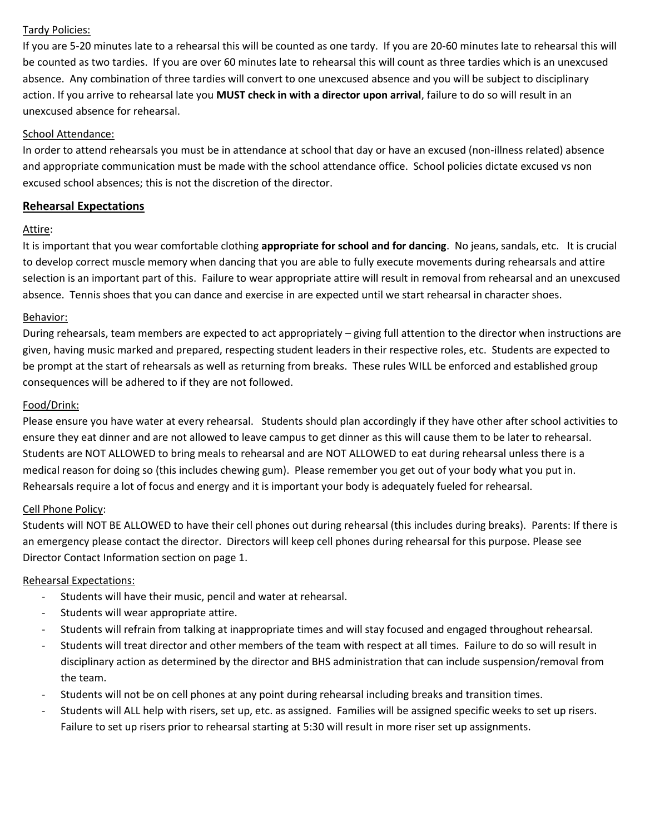#### Tardy Policies:

If you are 5-20 minutes late to a rehearsal this will be counted as one tardy. If you are 20-60 minutes late to rehearsal this will be counted as two tardies. If you are over 60 minutes late to rehearsal this will count as three tardies which is an unexcused absence. Any combination of three tardies will convert to one unexcused absence and you will be subject to disciplinary action. If you arrive to rehearsal late you **MUST check in with a director upon arrival**, failure to do so will result in an unexcused absence for rehearsal.

#### School Attendance:

In order to attend rehearsals you must be in attendance at school that day or have an excused (non-illness related) absence and appropriate communication must be made with the school attendance office. School policies dictate excused vs non excused school absences; this is not the discretion of the director.

### **Rehearsal Expectations**

#### Attire:

It is important that you wear comfortable clothing **appropriate for school and for dancing**. No jeans, sandals, etc. It is crucial to develop correct muscle memory when dancing that you are able to fully execute movements during rehearsals and attire selection is an important part of this. Failure to wear appropriate attire will result in removal from rehearsal and an unexcused absence. Tennis shoes that you can dance and exercise in are expected until we start rehearsal in character shoes.

#### Behavior:

During rehearsals, team members are expected to act appropriately – giving full attention to the director when instructions are given, having music marked and prepared, respecting student leaders in their respective roles, etc. Students are expected to be prompt at the start of rehearsals as well as returning from breaks. These rules WILL be enforced and established group consequences will be adhered to if they are not followed.

#### Food/Drink:

Please ensure you have water at every rehearsal. Students should plan accordingly if they have other after school activities to ensure they eat dinner and are not allowed to leave campus to get dinner as this will cause them to be later to rehearsal. Students are NOT ALLOWED to bring meals to rehearsal and are NOT ALLOWED to eat during rehearsal unless there is a medical reason for doing so (this includes chewing gum). Please remember you get out of your body what you put in. Rehearsals require a lot of focus and energy and it is important your body is adequately fueled for rehearsal.

#### Cell Phone Policy:

Students will NOT BE ALLOWED to have their cell phones out during rehearsal (this includes during breaks). Parents: If there is an emergency please contact the director. Directors will keep cell phones during rehearsal for this purpose. Please see Director Contact Information section on page 1.

#### Rehearsal Expectations:

- Students will have their music, pencil and water at rehearsal.
- Students will wear appropriate attire.
- Students will refrain from talking at inappropriate times and will stay focused and engaged throughout rehearsal.
- Students will treat director and other members of the team with respect at all times. Failure to do so will result in disciplinary action as determined by the director and BHS administration that can include suspension/removal from the team.
- Students will not be on cell phones at any point during rehearsal including breaks and transition times.
- Students will ALL help with risers, set up, etc. as assigned. Families will be assigned specific weeks to set up risers. Failure to set up risers prior to rehearsal starting at 5:30 will result in more riser set up assignments.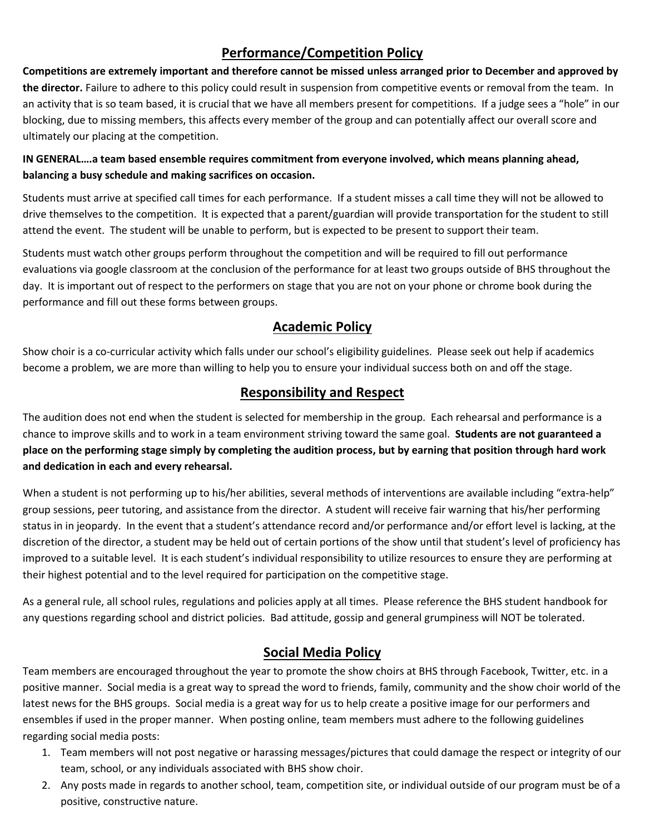# **Performance/Competition Policy**

**Competitions are extremely important and therefore cannot be missed unless arranged prior to December and approved by the director.** Failure to adhere to this policy could result in suspension from competitive events or removal from the team. In an activity that is so team based, it is crucial that we have all members present for competitions. If a judge sees a "hole" in our blocking, due to missing members, this affects every member of the group and can potentially affect our overall score and ultimately our placing at the competition.

## **IN GENERAL….a team based ensemble requires commitment from everyone involved, which means planning ahead, balancing a busy schedule and making sacrifices on occasion.**

Students must arrive at specified call times for each performance. If a student misses a call time they will not be allowed to drive themselves to the competition. It is expected that a parent/guardian will provide transportation for the student to still attend the event. The student will be unable to perform, but is expected to be present to support their team.

Students must watch other groups perform throughout the competition and will be required to fill out performance evaluations via google classroom at the conclusion of the performance for at least two groups outside of BHS throughout the day. It is important out of respect to the performers on stage that you are not on your phone or chrome book during the performance and fill out these forms between groups.

# **Academic Policy**

Show choir is a co-curricular activity which falls under our school's eligibility guidelines. Please seek out help if academics become a problem, we are more than willing to help you to ensure your individual success both on and off the stage.

# **Responsibility and Respect**

The audition does not end when the student is selected for membership in the group. Each rehearsal and performance is a chance to improve skills and to work in a team environment striving toward the same goal. **Students are not guaranteed a place on the performing stage simply by completing the audition process, but by earning that position through hard work and dedication in each and every rehearsal.** 

When a student is not performing up to his/her abilities, several methods of interventions are available including "extra-help" group sessions, peer tutoring, and assistance from the director. A student will receive fair warning that his/her performing status in in jeopardy. In the event that a student's attendance record and/or performance and/or effort level is lacking, at the discretion of the director, a student may be held out of certain portions of the show until that student's level of proficiency has improved to a suitable level. It is each student's individual responsibility to utilize resources to ensure they are performing at their highest potential and to the level required for participation on the competitive stage.

As a general rule, all school rules, regulations and policies apply at all times. Please reference the BHS student handbook for any questions regarding school and district policies. Bad attitude, gossip and general grumpiness will NOT be tolerated.

# **Social Media Policy**

Team members are encouraged throughout the year to promote the show choirs at BHS through Facebook, Twitter, etc. in a positive manner. Social media is a great way to spread the word to friends, family, community and the show choir world of the latest news for the BHS groups. Social media is a great way for us to help create a positive image for our performers and ensembles if used in the proper manner. When posting online, team members must adhere to the following guidelines regarding social media posts:

- 1. Team members will not post negative or harassing messages/pictures that could damage the respect or integrity of our team, school, or any individuals associated with BHS show choir.
- 2. Any posts made in regards to another school, team, competition site, or individual outside of our program must be of a positive, constructive nature.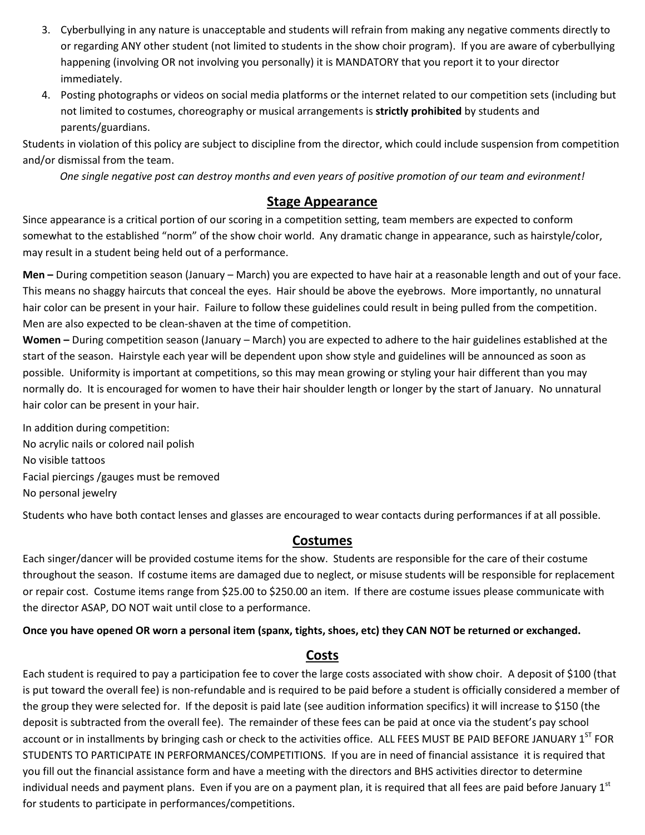- 3. Cyberbullying in any nature is unacceptable and students will refrain from making any negative comments directly to or regarding ANY other student (not limited to students in the show choir program). If you are aware of cyberbullying happening (involving OR not involving you personally) it is MANDATORY that you report it to your director immediately.
- 4. Posting photographs or videos on social media platforms or the internet related to our competition sets (including but not limited to costumes, choreography or musical arrangements is **strictly prohibited** by students and parents/guardians.

Students in violation of this policy are subject to discipline from the director, which could include suspension from competition and/or dismissal from the team.

*One single negative post can destroy months and even years of positive promotion of our team and evironment!*

## **Stage Appearance**

Since appearance is a critical portion of our scoring in a competition setting, team members are expected to conform somewhat to the established "norm" of the show choir world. Any dramatic change in appearance, such as hairstyle/color, may result in a student being held out of a performance.

**Men –** During competition season (January – March) you are expected to have hair at a reasonable length and out of your face. This means no shaggy haircuts that conceal the eyes. Hair should be above the eyebrows. More importantly, no unnatural hair color can be present in your hair. Failure to follow these guidelines could result in being pulled from the competition. Men are also expected to be clean-shaven at the time of competition.

**Women –** During competition season (January – March) you are expected to adhere to the hair guidelines established at the start of the season. Hairstyle each year will be dependent upon show style and guidelines will be announced as soon as possible. Uniformity is important at competitions, so this may mean growing or styling your hair different than you may normally do. It is encouraged for women to have their hair shoulder length or longer by the start of January. No unnatural hair color can be present in your hair.

In addition during competition: No acrylic nails or colored nail polish No visible tattoos Facial piercings /gauges must be removed No personal jewelry

Students who have both contact lenses and glasses are encouraged to wear contacts during performances if at all possible.

# **Costumes**

Each singer/dancer will be provided costume items for the show. Students are responsible for the care of their costume throughout the season. If costume items are damaged due to neglect, or misuse students will be responsible for replacement or repair cost. Costume items range from \$25.00 to \$250.00 an item. If there are costume issues please communicate with the director ASAP, DO NOT wait until close to a performance.

**Once you have opened OR worn a personal item (spanx, tights, shoes, etc) they CAN NOT be returned or exchanged.** 

## **Costs**

Each student is required to pay a participation fee to cover the large costs associated with show choir. A deposit of \$100 (that is put toward the overall fee) is non-refundable and is required to be paid before a student is officially considered a member of the group they were selected for. If the deposit is paid late (see audition information specifics) it will increase to \$150 (the deposit is subtracted from the overall fee). The remainder of these fees can be paid at once via the student's pay school account or in installments by bringing cash or check to the activities office. ALL FEES MUST BE PAID BEFORE JANUARY 1ST FOR STUDENTS TO PARTICIPATE IN PERFORMANCES/COMPETITIONS. If you are in need of financial assistance it is required that you fill out the financial assistance form and have a meeting with the directors and BHS activities director to determine individual needs and payment plans. Even if you are on a payment plan, it is required that all fees are paid before January 1st for students to participate in performances/competitions.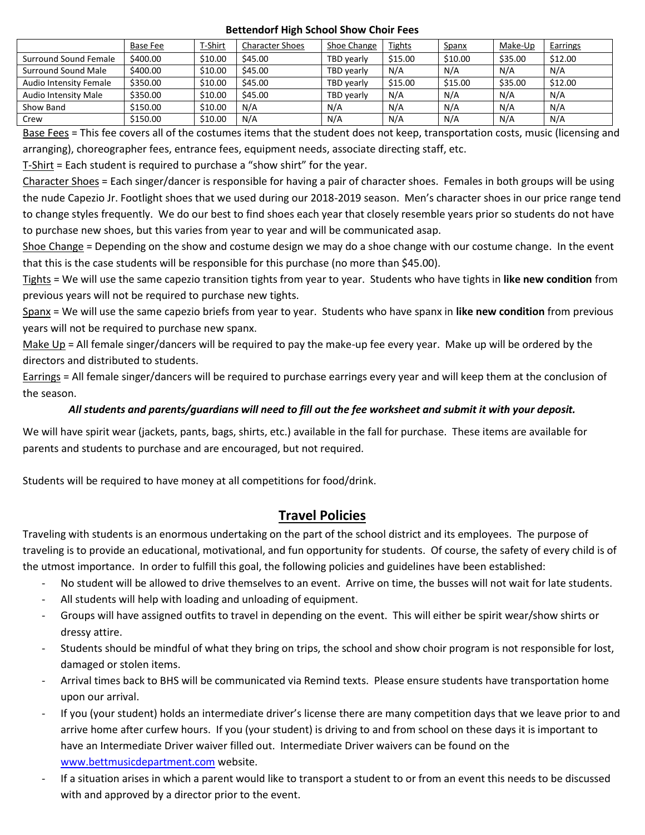#### **Bettendorf High School Show Choir Fees**

|                        | Base Fee | T-Shirt | <b>Character Shoes</b> | Shoe Change       | <b>Tights</b> | Spanx   | Make-Up | Earrings |
|------------------------|----------|---------|------------------------|-------------------|---------------|---------|---------|----------|
| Surround Sound Female  | \$400.00 | \$10.00 | \$45.00                | <b>TBD</b> vearly | \$15.00       | \$10.00 | \$35.00 | \$12.00  |
| Surround Sound Male    | \$400.00 | \$10.00 | \$45.00                | TBD yearly        | N/A           | N/A     | N/A     | N/A      |
| Audio Intensity Female | \$350.00 | \$10.00 | \$45.00                | <b>TBD</b> vearly | \$15.00       | \$15.00 | \$35.00 | \$12.00  |
| Audio Intensity Male   | \$350.00 | \$10.00 | \$45.00                | <b>TBD</b> vearly | N/A           | N/A     | N/A     | N/A      |
| Show Band              | \$150.00 | \$10.00 | N/A                    | N/A               | N/A           | N/A     | N/A     | N/A      |
| Crew                   | \$150.00 | \$10.00 | N/A                    | N/A               | N/A           | N/A     | N/A     | N/A      |

Base Fees = This fee covers all of the costumes items that the student does not keep, transportation costs, music (licensing and arranging), choreographer fees, entrance fees, equipment needs, associate directing staff, etc.

T-Shirt = Each student is required to purchase a "show shirt" for the year.

Character Shoes = Each singer/dancer is responsible for having a pair of character shoes. Females in both groups will be using the nude Capezio Jr. Footlight shoes that we used during our 2018-2019 season. Men's character shoes in our price range tend to change styles frequently. We do our best to find shoes each year that closely resemble years prior so students do not have to purchase new shoes, but this varies from year to year and will be communicated asap.

Shoe Change = Depending on the show and costume design we may do a shoe change with our costume change. In the event that this is the case students will be responsible for this purchase (no more than \$45.00).

Tights = We will use the same capezio transition tights from year to year. Students who have tights in **like new condition** from previous years will not be required to purchase new tights.

Spanx = We will use the same capezio briefs from year to year. Students who have spanx in **like new condition** from previous years will not be required to purchase new spanx.

Make Up = All female singer/dancers will be required to pay the make-up fee every year. Make up will be ordered by the directors and distributed to students.

Earrings = All female singer/dancers will be required to purchase earrings every year and will keep them at the conclusion of the season.

### *All students and parents/guardians will need to fill out the fee worksheet and submit it with your deposit.*

We will have spirit wear (jackets, pants, bags, shirts, etc.) available in the fall for purchase. These items are available for parents and students to purchase and are encouraged, but not required.

Students will be required to have money at all competitions for food/drink.

# **Travel Policies**

Traveling with students is an enormous undertaking on the part of the school district and its employees. The purpose of traveling is to provide an educational, motivational, and fun opportunity for students. Of course, the safety of every child is of the utmost importance. In order to fulfill this goal, the following policies and guidelines have been established:

- No student will be allowed to drive themselves to an event. Arrive on time, the busses will not wait for late students.
- All students will help with loading and unloading of equipment.
- Groups will have assigned outfits to travel in depending on the event. This will either be spirit wear/show shirts or dressy attire.
- Students should be mindful of what they bring on trips, the school and show choir program is not responsible for lost, damaged or stolen items.
- Arrival times back to BHS will be communicated via Remind texts. Please ensure students have transportation home upon our arrival.
- If you (your student) holds an intermediate driver's license there are many competition days that we leave prior to and arrive home after curfew hours. If you (your student) is driving to and from school on these days it is important to have an Intermediate Driver waiver filled out. Intermediate Driver waivers can be found on the [www.bettmusicdepartment.com](http://www.bettmusicdepartment.com/) website.
- If a situation arises in which a parent would like to transport a student to or from an event this needs to be discussed with and approved by a director prior to the event.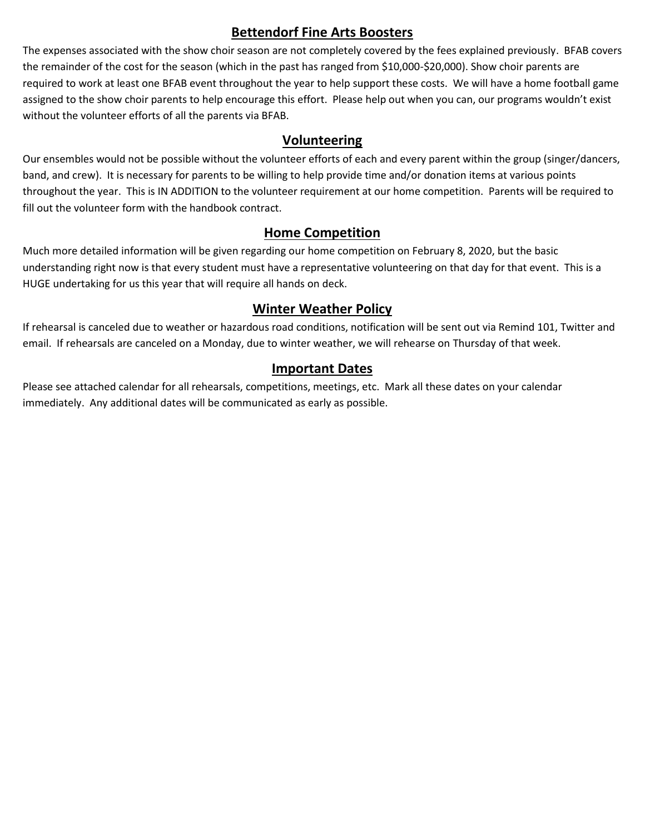# **Bettendorf Fine Arts Boosters**

The expenses associated with the show choir season are not completely covered by the fees explained previously. BFAB covers the remainder of the cost for the season (which in the past has ranged from \$10,000-\$20,000). Show choir parents are required to work at least one BFAB event throughout the year to help support these costs. We will have a home football game assigned to the show choir parents to help encourage this effort. Please help out when you can, our programs wouldn't exist without the volunteer efforts of all the parents via BFAB.

## **Volunteering**

Our ensembles would not be possible without the volunteer efforts of each and every parent within the group (singer/dancers, band, and crew). It is necessary for parents to be willing to help provide time and/or donation items at various points throughout the year. This is IN ADDITION to the volunteer requirement at our home competition. Parents will be required to fill out the volunteer form with the handbook contract.

# **Home Competition**

Much more detailed information will be given regarding our home competition on February 8, 2020, but the basic understanding right now is that every student must have a representative volunteering on that day for that event. This is a HUGE undertaking for us this year that will require all hands on deck.

# **Winter Weather Policy**

If rehearsal is canceled due to weather or hazardous road conditions, notification will be sent out via Remind 101, Twitter and email. If rehearsals are canceled on a Monday, due to winter weather, we will rehearse on Thursday of that week.

# **Important Dates**

Please see attached calendar for all rehearsals, competitions, meetings, etc. Mark all these dates on your calendar immediately. Any additional dates will be communicated as early as possible.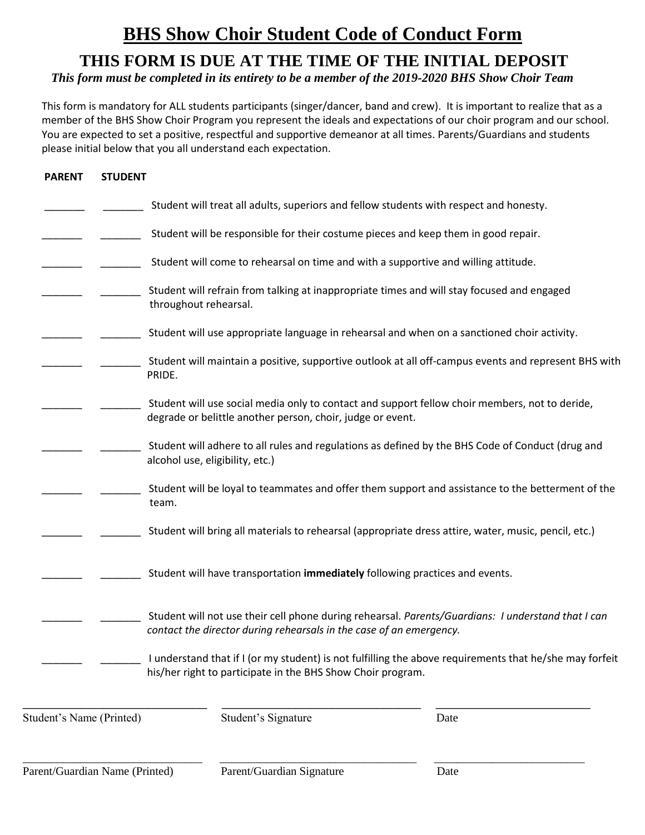# **BHS Show Choir Student Code of Conduct Form**

# **THIS FORM IS DUE AT THE TIME OF THE INITIAL DEPOSIT**

 *This form must be completed in its entirety to be a member of the 2019-2020 BHS Show Choir Team*

This form is mandatory for ALL students participants (singer/dancer, band and crew). It is important to realize that as a member of the BHS Show Choir Program you represent the ideals and expectations of our choir program and our school. You are expected to set a positive, respectful and supportive demeanor at all times. Parents/Guardians and students please initial below that you all understand each expectation.

| <b>PARENT</b>                  | <b>STUDENT</b> |                                                                                                                                                                           |      |
|--------------------------------|----------------|---------------------------------------------------------------------------------------------------------------------------------------------------------------------------|------|
|                                |                | Student will treat all adults, superiors and fellow students with respect and honesty.                                                                                    |      |
|                                |                | Student will be responsible for their costume pieces and keep them in good repair.                                                                                        |      |
|                                |                | Student will come to rehearsal on time and with a supportive and willing attitude.                                                                                        |      |
|                                |                | Student will refrain from talking at inappropriate times and will stay focused and engaged<br>throughout rehearsal.                                                       |      |
|                                |                | Student will use appropriate language in rehearsal and when on a sanctioned choir activity.                                                                               |      |
|                                |                | Student will maintain a positive, supportive outlook at all off-campus events and represent BHS with<br>PRIDE.                                                            |      |
|                                |                | Student will use social media only to contact and support fellow choir members, not to deride,<br>degrade or belittle another person, choir, judge or event.              |      |
|                                |                | Student will adhere to all rules and regulations as defined by the BHS Code of Conduct (drug and<br>alcohol use, eligibility, etc.)                                       |      |
|                                |                | Student will be loyal to teammates and offer them support and assistance to the betterment of the<br>team.                                                                |      |
|                                |                | Student will bring all materials to rehearsal (appropriate dress attire, water, music, pencil, etc.)                                                                      |      |
|                                |                | Student will have transportation immediately following practices and events.                                                                                              |      |
|                                |                | Student will not use their cell phone during rehearsal. Parents/Guardians: I understand that I can<br>contact the director during rehearsals in the case of an emergency. |      |
|                                |                | I understand that if I (or my student) is not fulfilling the above requirements that he/she may forfeit<br>his/her right to participate in the BHS Show Choir program.    |      |
| Student's Name (Printed)       |                | Student's Signature                                                                                                                                                       | Date |
| Parent/Guardian Name (Printed) |                | Parent/Guardian Signature                                                                                                                                                 | Date |